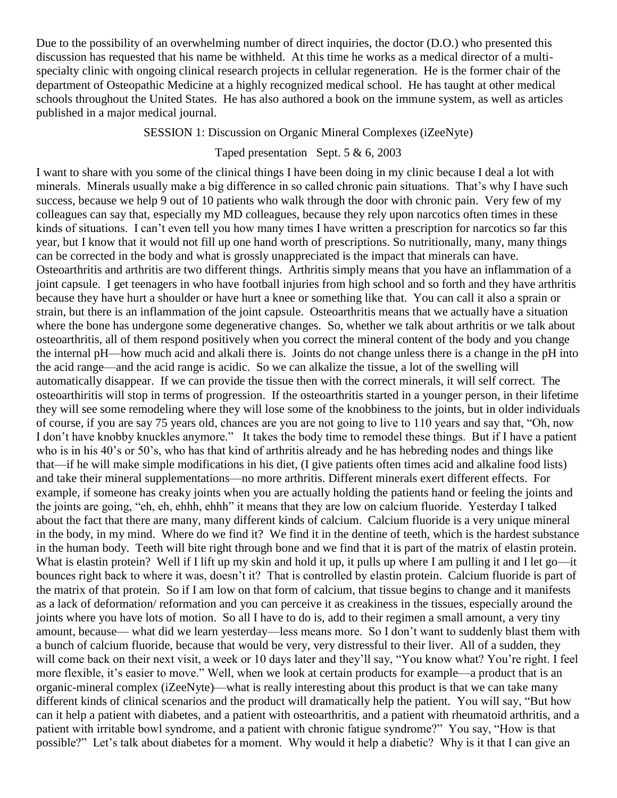Due to the possibility of an overwhelming number of direct inquiries, the doctor (D.O.) who presented this discussion has requested that his name be withheld. At this time he works as a medical director of a multispecialty clinic with ongoing clinical research projects in cellular regeneration. He is the former chair of the department of Osteopathic Medicine at a highly recognized medical school. He has taught at other medical schools throughout the United States. He has also authored a book on the immune system, as well as articles published in a major medical journal.

SESSION 1: Discussion on Organic Mineral Complexes (iZeeNyte)

## Taped presentation Sept. 5 & 6, 2003

I want to share with you some of the clinical things I have been doing in my clinic because I deal a lot with minerals. Minerals usually make a big difference in so called chronic pain situations. That's why I have such success, because we help 9 out of 10 patients who walk through the door with chronic pain. Very few of my colleagues can say that, especially my MD colleagues, because they rely upon narcotics often times in these kinds of situations. I can't even tell you how many times I have written a prescription for narcotics so far this year, but I know that it would not fill up one hand worth of prescriptions. So nutritionally, many, many things can be corrected in the body and what is grossly unappreciated is the impact that minerals can have. Osteoarthritis and arthritis are two different things. Arthritis simply means that you have an inflammation of a joint capsule. I get teenagers in who have football injuries from high school and so forth and they have arthritis because they have hurt a shoulder or have hurt a knee or something like that. You can call it also a sprain or strain, but there is an inflammation of the joint capsule. Osteoarthritis means that we actually have a situation where the bone has undergone some degenerative changes. So, whether we talk about arthritis or we talk about osteoarthritis, all of them respond positively when you correct the mineral content of the body and you change the internal pH—how much acid and alkali there is. Joints do not change unless there is a change in the pH into the acid range—and the acid range is acidic. So we can alkalize the tissue, a lot of the swelling will automatically disappear. If we can provide the tissue then with the correct minerals, it will self correct. The osteoarthiritis will stop in terms of progression. If the osteoarthritis started in a younger person, in their lifetime they will see some remodeling where they will lose some of the knobbiness to the joints, but in older individuals of course, if you are say 75 years old, chances are you are not going to live to 110 years and say that, "Oh, now I don't have knobby knuckles anymore." It takes the body time to remodel these things. But if I have a patient who is in his 40's or 50's, who has that kind of arthritis already and he has hebreding nodes and things like that—if he will make simple modifications in his diet, (I give patients often times acid and alkaline food lists) and take their mineral supplementations—no more arthritis. Different minerals exert different effects. For example, if someone has creaky joints when you are actually holding the patients hand or feeling the joints and the joints are going, "eh, eh, ehhh, ehhh" it means that they are low on calcium fluoride. Yesterday I talked about the fact that there are many, many different kinds of calcium. Calcium fluoride is a very unique mineral in the body, in my mind. Where do we find it? We find it in the dentine of teeth, which is the hardest substance in the human body. Teeth will bite right through bone and we find that it is part of the matrix of elastin protein. What is elastin protein? Well if I lift up my skin and hold it up, it pulls up where I am pulling it and I let go—it bounces right back to where it was, doesn't it? That is controlled by elastin protein. Calcium fluoride is part of the matrix of that protein. So if I am low on that form of calcium, that tissue begins to change and it manifests as a lack of deformation/ reformation and you can perceive it as creakiness in the tissues, especially around the joints where you have lots of motion. So all I have to do is, add to their regimen a small amount, a very tiny amount, because— what did we learn yesterday—less means more. So I don't want to suddenly blast them with a bunch of calcium fluoride, because that would be very, very distressful to their liver. All of a sudden, they will come back on their next visit, a week or 10 days later and they'll say, "You know what? You're right. I feel more flexible, it's easier to move." Well, when we look at certain products for example—a product that is an organic-mineral complex (iZeeNyte)—what is really interesting about this product is that we can take many different kinds of clinical scenarios and the product will dramatically help the patient. You will say, "But how can it help a patient with diabetes, and a patient with osteoarthritis, and a patient with rheumatoid arthritis, and a patient with irritable bowl syndrome, and a patient with chronic fatigue syndrome?" You say, "How is that possible?" Let's talk about diabetes for a moment. Why would it help a diabetic? Why is it that I can give an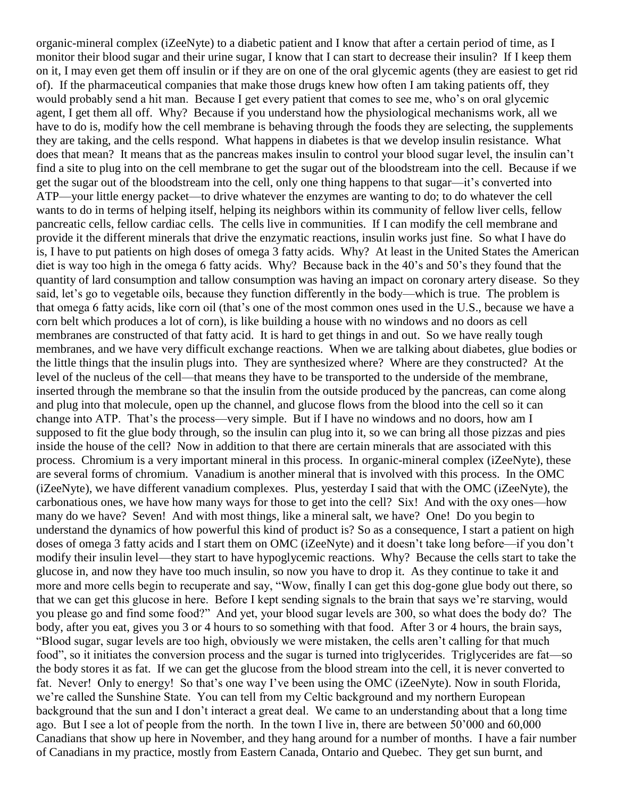organic-mineral complex (iZeeNyte) to a diabetic patient and I know that after a certain period of time, as I monitor their blood sugar and their urine sugar, I know that I can start to decrease their insulin? If I keep them on it, I may even get them off insulin or if they are on one of the oral glycemic agents (they are easiest to get rid of). If the pharmaceutical companies that make those drugs knew how often I am taking patients off, they would probably send a hit man. Because I get every patient that comes to see me, who's on oral glycemic agent, I get them all off. Why? Because if you understand how the physiological mechanisms work, all we have to do is, modify how the cell membrane is behaving through the foods they are selecting, the supplements they are taking, and the cells respond. What happens in diabetes is that we develop insulin resistance. What does that mean? It means that as the pancreas makes insulin to control your blood sugar level, the insulin can't find a site to plug into on the cell membrane to get the sugar out of the bloodstream into the cell. Because if we get the sugar out of the bloodstream into the cell, only one thing happens to that sugar—it's converted into ATP—your little energy packet—to drive whatever the enzymes are wanting to do; to do whatever the cell wants to do in terms of helping itself, helping its neighbors within its community of fellow liver cells, fellow pancreatic cells, fellow cardiac cells. The cells live in communities. If I can modify the cell membrane and provide it the different minerals that drive the enzymatic reactions, insulin works just fine. So what I have do is, I have to put patients on high doses of omega 3 fatty acids. Why? At least in the United States the American diet is way too high in the omega 6 fatty acids. Why? Because back in the 40's and 50's they found that the quantity of lard consumption and tallow consumption was having an impact on coronary artery disease. So they said, let's go to vegetable oils, because they function differently in the body—which is true. The problem is that omega 6 fatty acids, like corn oil (that's one of the most common ones used in the U.S., because we have a corn belt which produces a lot of corn), is like building a house with no windows and no doors as cell membranes are constructed of that fatty acid. It is hard to get things in and out. So we have really tough membranes, and we have very difficult exchange reactions. When we are talking about diabetes, glue bodies or the little things that the insulin plugs into. They are synthesized where? Where are they constructed? At the level of the nucleus of the cell—that means they have to be transported to the underside of the membrane, inserted through the membrane so that the insulin from the outside produced by the pancreas, can come along and plug into that molecule, open up the channel, and glucose flows from the blood into the cell so it can change into ATP. That's the process—very simple. But if I have no windows and no doors, how am I supposed to fit the glue body through, so the insulin can plug into it, so we can bring all those pizzas and pies inside the house of the cell? Now in addition to that there are certain minerals that are associated with this process. Chromium is a very important mineral in this process. In organic-mineral complex (iZeeNyte), these are several forms of chromium. Vanadium is another mineral that is involved with this process. In the OMC (iZeeNyte), we have different vanadium complexes. Plus, yesterday I said that with the OMC (iZeeNyte), the carbonatious ones, we have how many ways for those to get into the cell? Six! And with the oxy ones—how many do we have? Seven! And with most things, like a mineral salt, we have? One! Do you begin to understand the dynamics of how powerful this kind of product is? So as a consequence, I start a patient on high doses of omega 3 fatty acids and I start them on OMC (iZeeNyte) and it doesn't take long before—if you don't modify their insulin level—they start to have hypoglycemic reactions. Why? Because the cells start to take the glucose in, and now they have too much insulin, so now you have to drop it. As they continue to take it and more and more cells begin to recuperate and say, "Wow, finally I can get this dog-gone glue body out there, so that we can get this glucose in here. Before I kept sending signals to the brain that says we're starving, would you please go and find some food?" And yet, your blood sugar levels are 300, so what does the body do? The body, after you eat, gives you 3 or 4 hours to so something with that food. After 3 or 4 hours, the brain says, "Blood sugar, sugar levels are too high, obviously we were mistaken, the cells aren't calling for that much food", so it initiates the conversion process and the sugar is turned into triglycerides. Triglycerides are fat—so the body stores it as fat. If we can get the glucose from the blood stream into the cell, it is never converted to fat. Never! Only to energy! So that's one way I've been using the OMC (iZeeNyte). Now in south Florida, we're called the Sunshine State. You can tell from my Celtic background and my northern European background that the sun and I don't interact a great deal. We came to an understanding about that a long time ago. But I see a lot of people from the north. In the town I live in, there are between 50'000 and 60,000 Canadians that show up here in November, and they hang around for a number of months. I have a fair number of Canadians in my practice, mostly from Eastern Canada, Ontario and Quebec. They get sun burnt, and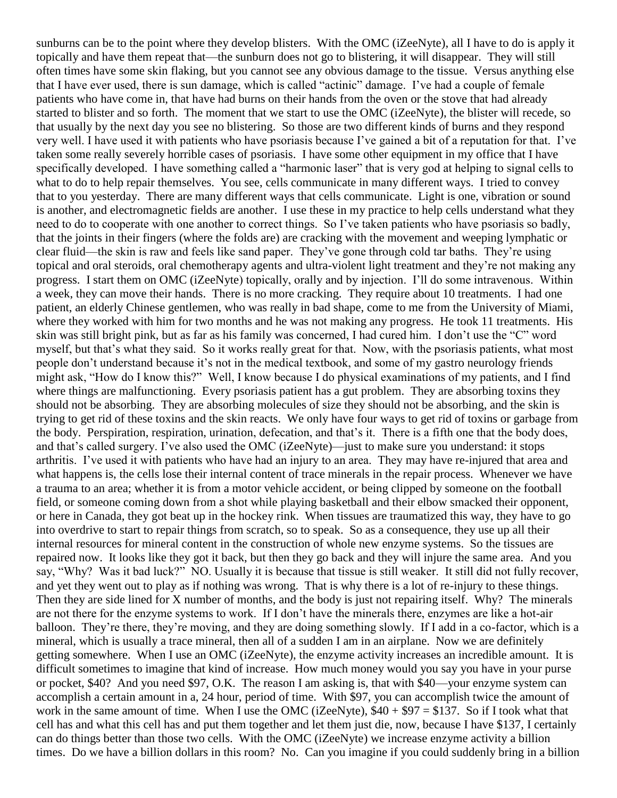sunburns can be to the point where they develop blisters. With the OMC (iZeeNyte), all I have to do is apply it topically and have them repeat that—the sunburn does not go to blistering, it will disappear. They will still often times have some skin flaking, but you cannot see any obvious damage to the tissue. Versus anything else that I have ever used, there is sun damage, which is called "actinic" damage. I've had a couple of female patients who have come in, that have had burns on their hands from the oven or the stove that had already started to blister and so forth. The moment that we start to use the OMC (iZeeNyte), the blister will recede, so that usually by the next day you see no blistering. So those are two different kinds of burns and they respond very well. I have used it with patients who have psoriasis because I've gained a bit of a reputation for that. I've taken some really severely horrible cases of psoriasis. I have some other equipment in my office that I have specifically developed. I have something called a "harmonic laser" that is very god at helping to signal cells to what to do to help repair themselves. You see, cells communicate in many different ways. I tried to convey that to you yesterday. There are many different ways that cells communicate. Light is one, vibration or sound is another, and electromagnetic fields are another. I use these in my practice to help cells understand what they need to do to cooperate with one another to correct things. So I've taken patients who have psoriasis so badly, that the joints in their fingers (where the folds are) are cracking with the movement and weeping lymphatic or clear fluid—the skin is raw and feels like sand paper. They've gone through cold tar baths. They're using topical and oral steroids, oral chemotherapy agents and ultra-violent light treatment and they're not making any progress. I start them on OMC (iZeeNyte) topically, orally and by injection. I'll do some intravenous. Within a week, they can move their hands. There is no more cracking. They require about 10 treatments. I had one patient, an elderly Chinese gentlemen, who was really in bad shape, come to me from the University of Miami, where they worked with him for two months and he was not making any progress. He took 11 treatments. His skin was still bright pink, but as far as his family was concerned, I had cured him. I don't use the "C" word myself, but that's what they said. So it works really great for that. Now, with the psoriasis patients, what most people don't understand because it's not in the medical textbook, and some of my gastro neurology friends might ask, "How do I know this?" Well, I know because I do physical examinations of my patients, and I find where things are malfunctioning. Every psoriasis patient has a gut problem. They are absorbing toxins they should not be absorbing. They are absorbing molecules of size they should not be absorbing, and the skin is trying to get rid of these toxins and the skin reacts. We only have four ways to get rid of toxins or garbage from the body. Perspiration, respiration, urination, defecation, and that's it. There is a fifth one that the body does, and that's called surgery. I've also used the OMC (iZeeNyte)—just to make sure you understand: it stops arthritis. I've used it with patients who have had an injury to an area. They may have re-injured that area and what happens is, the cells lose their internal content of trace minerals in the repair process. Whenever we have a trauma to an area; whether it is from a motor vehicle accident, or being clipped by someone on the football field, or someone coming down from a shot while playing basketball and their elbow smacked their opponent, or here in Canada, they got beat up in the hockey rink. When tissues are traumatized this way, they have to go into overdrive to start to repair things from scratch, so to speak. So as a consequence, they use up all their internal resources for mineral content in the construction of whole new enzyme systems. So the tissues are repaired now. It looks like they got it back, but then they go back and they will injure the same area. And you say, "Why? Was it bad luck?" NO. Usually it is because that tissue is still weaker. It still did not fully recover, and yet they went out to play as if nothing was wrong. That is why there is a lot of re-injury to these things. Then they are side lined for X number of months, and the body is just not repairing itself. Why? The minerals are not there for the enzyme systems to work. If I don't have the minerals there, enzymes are like a hot-air balloon. They're there, they're moving, and they are doing something slowly. If I add in a co-factor, which is a mineral, which is usually a trace mineral, then all of a sudden I am in an airplane. Now we are definitely getting somewhere. When I use an OMC (iZeeNyte), the enzyme activity increases an incredible amount. It is difficult sometimes to imagine that kind of increase. How much money would you say you have in your purse or pocket, \$40? And you need \$97, O.K. The reason I am asking is, that with \$40—your enzyme system can accomplish a certain amount in a, 24 hour, period of time. With \$97, you can accomplish twice the amount of work in the same amount of time. When I use the OMC (iZeeNyte),  $$40 + $97 = $137$ . So if I took what that cell has and what this cell has and put them together and let them just die, now, because I have \$137, I certainly can do things better than those two cells. With the OMC (iZeeNyte) we increase enzyme activity a billion times. Do we have a billion dollars in this room? No. Can you imagine if you could suddenly bring in a billion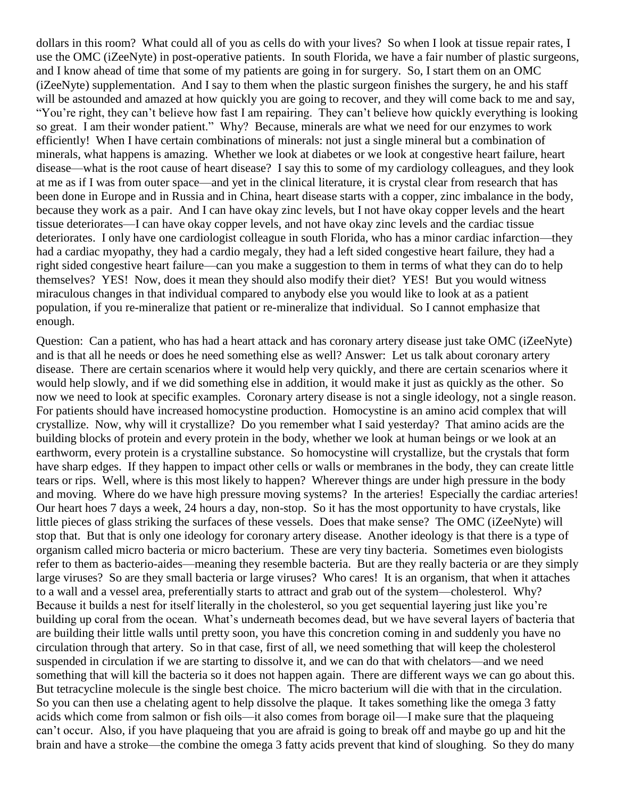dollars in this room? What could all of you as cells do with your lives? So when I look at tissue repair rates, I use the OMC (iZeeNyte) in post-operative patients. In south Florida, we have a fair number of plastic surgeons, and I know ahead of time that some of my patients are going in for surgery. So, I start them on an OMC (iZeeNyte) supplementation. And I say to them when the plastic surgeon finishes the surgery, he and his staff will be astounded and amazed at how quickly you are going to recover, and they will come back to me and say, "You're right, they can't believe how fast I am repairing. They can't believe how quickly everything is looking so great. I am their wonder patient." Why? Because, minerals are what we need for our enzymes to work efficiently! When I have certain combinations of minerals: not just a single mineral but a combination of minerals, what happens is amazing. Whether we look at diabetes or we look at congestive heart failure, heart disease—what is the root cause of heart disease? I say this to some of my cardiology colleagues, and they look at me as if I was from outer space—and yet in the clinical literature, it is crystal clear from research that has been done in Europe and in Russia and in China, heart disease starts with a copper, zinc imbalance in the body, because they work as a pair. And I can have okay zinc levels, but I not have okay copper levels and the heart tissue deteriorates—I can have okay copper levels, and not have okay zinc levels and the cardiac tissue deteriorates. I only have one cardiologist colleague in south Florida, who has a minor cardiac infarction—they had a cardiac myopathy, they had a cardio megaly, they had a left sided congestive heart failure, they had a right sided congestive heart failure—can you make a suggestion to them in terms of what they can do to help themselves? YES! Now, does it mean they should also modify their diet? YES! But you would witness miraculous changes in that individual compared to anybody else you would like to look at as a patient population, if you re-mineralize that patient or re-mineralize that individual. So I cannot emphasize that enough.

Question: Can a patient, who has had a heart attack and has coronary artery disease just take OMC (iZeeNyte) and is that all he needs or does he need something else as well? Answer: Let us talk about coronary artery disease. There are certain scenarios where it would help very quickly, and there are certain scenarios where it would help slowly, and if we did something else in addition, it would make it just as quickly as the other. So now we need to look at specific examples. Coronary artery disease is not a single ideology, not a single reason. For patients should have increased homocystine production. Homocystine is an amino acid complex that will crystallize. Now, why will it crystallize? Do you remember what I said yesterday? That amino acids are the building blocks of protein and every protein in the body, whether we look at human beings or we look at an earthworm, every protein is a crystalline substance. So homocystine will crystallize, but the crystals that form have sharp edges. If they happen to impact other cells or walls or membranes in the body, they can create little tears or rips. Well, where is this most likely to happen? Wherever things are under high pressure in the body and moving. Where do we have high pressure moving systems? In the arteries! Especially the cardiac arteries! Our heart hoes 7 days a week, 24 hours a day, non-stop. So it has the most opportunity to have crystals, like little pieces of glass striking the surfaces of these vessels. Does that make sense? The OMC (iZeeNyte) will stop that. But that is only one ideology for coronary artery disease. Another ideology is that there is a type of organism called micro bacteria or micro bacterium. These are very tiny bacteria. Sometimes even biologists refer to them as bacterio-aides—meaning they resemble bacteria. But are they really bacteria or are they simply large viruses? So are they small bacteria or large viruses? Who cares! It is an organism, that when it attaches to a wall and a vessel area, preferentially starts to attract and grab out of the system—cholesterol. Why? Because it builds a nest for itself literally in the cholesterol, so you get sequential layering just like you're building up coral from the ocean. What's underneath becomes dead, but we have several layers of bacteria that are building their little walls until pretty soon, you have this concretion coming in and suddenly you have no circulation through that artery. So in that case, first of all, we need something that will keep the cholesterol suspended in circulation if we are starting to dissolve it, and we can do that with chelators—and we need something that will kill the bacteria so it does not happen again. There are different ways we can go about this. But tetracycline molecule is the single best choice. The micro bacterium will die with that in the circulation. So you can then use a chelating agent to help dissolve the plaque. It takes something like the omega 3 fatty acids which come from salmon or fish oils—it also comes from borage oil—I make sure that the plaqueing can't occur. Also, if you have plaqueing that you are afraid is going to break off and maybe go up and hit the brain and have a stroke—the combine the omega 3 fatty acids prevent that kind of sloughing. So they do many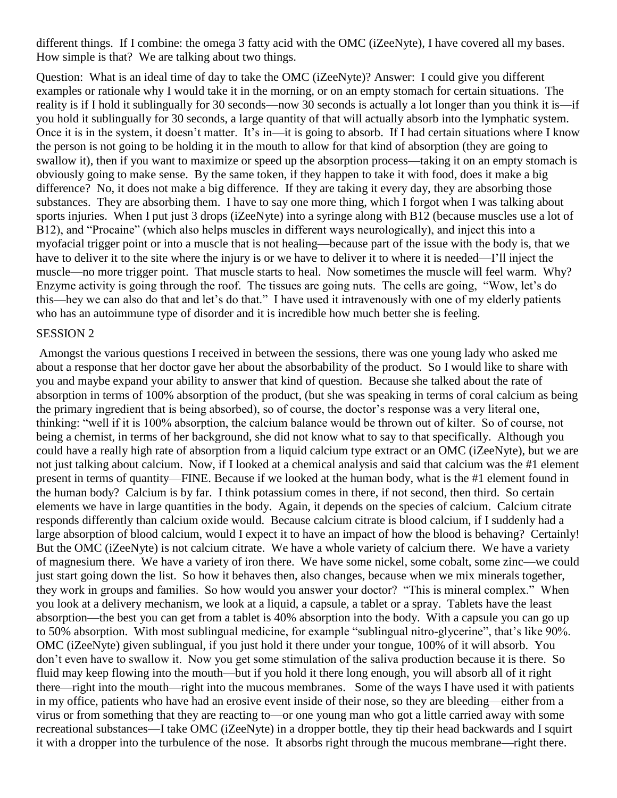different things. If I combine: the omega 3 fatty acid with the OMC (iZeeNyte), I have covered all my bases. How simple is that? We are talking about two things.

Question: What is an ideal time of day to take the OMC (iZeeNyte)? Answer: I could give you different examples or rationale why I would take it in the morning, or on an empty stomach for certain situations. The reality is if I hold it sublingually for 30 seconds—now 30 seconds is actually a lot longer than you think it is—if you hold it sublingually for 30 seconds, a large quantity of that will actually absorb into the lymphatic system. Once it is in the system, it doesn't matter. It's in—it is going to absorb. If I had certain situations where I know the person is not going to be holding it in the mouth to allow for that kind of absorption (they are going to swallow it), then if you want to maximize or speed up the absorption process—taking it on an empty stomach is obviously going to make sense. By the same token, if they happen to take it with food, does it make a big difference? No, it does not make a big difference. If they are taking it every day, they are absorbing those substances. They are absorbing them. I have to say one more thing, which I forgot when I was talking about sports injuries. When I put just 3 drops (iZeeNyte) into a syringe along with B12 (because muscles use a lot of B12), and "Procaine" (which also helps muscles in different ways neurologically), and inject this into a myofacial trigger point or into a muscle that is not healing—because part of the issue with the body is, that we have to deliver it to the site where the injury is or we have to deliver it to where it is needed—I'll inject the muscle—no more trigger point. That muscle starts to heal. Now sometimes the muscle will feel warm. Why? Enzyme activity is going through the roof. The tissues are going nuts. The cells are going, "Wow, let's do this—hey we can also do that and let's do that." I have used it intravenously with one of my elderly patients who has an autoimmune type of disorder and it is incredible how much better she is feeling.

## SESSION 2

Amongst the various questions I received in between the sessions, there was one young lady who asked me about a response that her doctor gave her about the absorbability of the product. So I would like to share with you and maybe expand your ability to answer that kind of question. Because she talked about the rate of absorption in terms of 100% absorption of the product, (but she was speaking in terms of coral calcium as being the primary ingredient that is being absorbed), so of course, the doctor's response was a very literal one, thinking: "well if it is 100% absorption, the calcium balance would be thrown out of kilter. So of course, not being a chemist, in terms of her background, she did not know what to say to that specifically. Although you could have a really high rate of absorption from a liquid calcium type extract or an OMC (iZeeNyte), but we are not just talking about calcium. Now, if I looked at a chemical analysis and said that calcium was the #1 element present in terms of quantity—FINE. Because if we looked at the human body, what is the #1 element found in the human body? Calcium is by far. I think potassium comes in there, if not second, then third. So certain elements we have in large quantities in the body. Again, it depends on the species of calcium. Calcium citrate responds differently than calcium oxide would. Because calcium citrate is blood calcium, if I suddenly had a large absorption of blood calcium, would I expect it to have an impact of how the blood is behaving? Certainly! But the OMC (iZeeNyte) is not calcium citrate. We have a whole variety of calcium there. We have a variety of magnesium there. We have a variety of iron there. We have some nickel, some cobalt, some zinc—we could just start going down the list. So how it behaves then, also changes, because when we mix minerals together, they work in groups and families. So how would you answer your doctor? "This is mineral complex." When you look at a delivery mechanism, we look at a liquid, a capsule, a tablet or a spray. Tablets have the least absorption—the best you can get from a tablet is 40% absorption into the body. With a capsule you can go up to 50% absorption. With most sublingual medicine, for example "sublingual nitro-glycerine", that's like 90%. OMC (iZeeNyte) given sublingual, if you just hold it there under your tongue, 100% of it will absorb. You don't even have to swallow it. Now you get some stimulation of the saliva production because it is there. So fluid may keep flowing into the mouth—but if you hold it there long enough, you will absorb all of it right there—right into the mouth—right into the mucous membranes. Some of the ways I have used it with patients in my office, patients who have had an erosive event inside of their nose, so they are bleeding—either from a virus or from something that they are reacting to—or one young man who got a little carried away with some recreational substances—I take OMC (iZeeNyte) in a dropper bottle, they tip their head backwards and I squirt it with a dropper into the turbulence of the nose. It absorbs right through the mucous membrane—right there.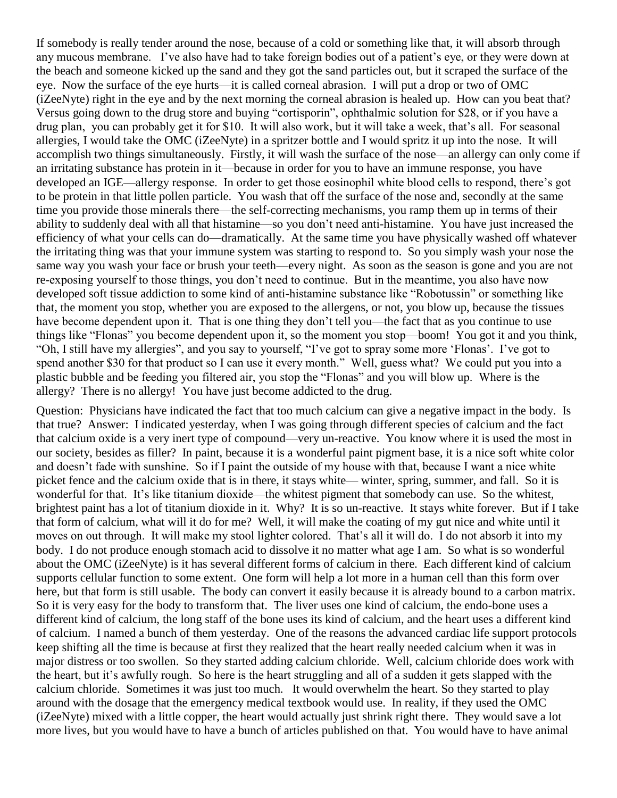If somebody is really tender around the nose, because of a cold or something like that, it will absorb through any mucous membrane. I've also have had to take foreign bodies out of a patient's eye, or they were down at the beach and someone kicked up the sand and they got the sand particles out, but it scraped the surface of the eye. Now the surface of the eye hurts—it is called corneal abrasion. I will put a drop or two of OMC (iZeeNyte) right in the eye and by the next morning the corneal abrasion is healed up. How can you beat that? Versus going down to the drug store and buying "cortisporin", ophthalmic solution for \$28, or if you have a drug plan, you can probably get it for \$10. It will also work, but it will take a week, that's all. For seasonal allergies, I would take the OMC (iZeeNyte) in a spritzer bottle and I would spritz it up into the nose. It will accomplish two things simultaneously. Firstly, it will wash the surface of the nose—an allergy can only come if an irritating substance has protein in it—because in order for you to have an immune response, you have developed an IGE—allergy response. In order to get those eosinophil white blood cells to respond, there's got to be protein in that little pollen particle. You wash that off the surface of the nose and, secondly at the same time you provide those minerals there—the self-correcting mechanisms, you ramp them up in terms of their ability to suddenly deal with all that histamine—so you don't need anti-histamine. You have just increased the efficiency of what your cells can do—dramatically. At the same time you have physically washed off whatever the irritating thing was that your immune system was starting to respond to. So you simply wash your nose the same way you wash your face or brush your teeth—every night. As soon as the season is gone and you are not re-exposing yourself to those things, you don't need to continue. But in the meantime, you also have now developed soft tissue addiction to some kind of anti-histamine substance like "Robotussin" or something like that, the moment you stop, whether you are exposed to the allergens, or not, you blow up, because the tissues have become dependent upon it. That is one thing they don't tell you—the fact that as you continue to use things like "Flonas" you become dependent upon it, so the moment you stop—boom! You got it and you think, "Oh, I still have my allergies", and you say to yourself, "I've got to spray some more 'Flonas'. I've got to spend another \$30 for that product so I can use it every month." Well, guess what? We could put you into a plastic bubble and be feeding you filtered air, you stop the "Flonas" and you will blow up. Where is the allergy? There is no allergy! You have just become addicted to the drug.

Question: Physicians have indicated the fact that too much calcium can give a negative impact in the body. Is that true? Answer: I indicated yesterday, when I was going through different species of calcium and the fact that calcium oxide is a very inert type of compound—very un-reactive. You know where it is used the most in our society, besides as filler? In paint, because it is a wonderful paint pigment base, it is a nice soft white color and doesn't fade with sunshine. So if I paint the outside of my house with that, because I want a nice white picket fence and the calcium oxide that is in there, it stays white— winter, spring, summer, and fall. So it is wonderful for that. It's like titanium dioxide—the whitest pigment that somebody can use. So the whitest, brightest paint has a lot of titanium dioxide in it. Why? It is so un-reactive. It stays white forever. But if I take that form of calcium, what will it do for me? Well, it will make the coating of my gut nice and white until it moves on out through. It will make my stool lighter colored. That's all it will do. I do not absorb it into my body. I do not produce enough stomach acid to dissolve it no matter what age I am. So what is so wonderful about the OMC (iZeeNyte) is it has several different forms of calcium in there. Each different kind of calcium supports cellular function to some extent. One form will help a lot more in a human cell than this form over here, but that form is still usable. The body can convert it easily because it is already bound to a carbon matrix. So it is very easy for the body to transform that. The liver uses one kind of calcium, the endo-bone uses a different kind of calcium, the long staff of the bone uses its kind of calcium, and the heart uses a different kind of calcium. I named a bunch of them yesterday. One of the reasons the advanced cardiac life support protocols keep shifting all the time is because at first they realized that the heart really needed calcium when it was in major distress or too swollen. So they started adding calcium chloride. Well, calcium chloride does work with the heart, but it's awfully rough. So here is the heart struggling and all of a sudden it gets slapped with the calcium chloride. Sometimes it was just too much. It would overwhelm the heart. So they started to play around with the dosage that the emergency medical textbook would use. In reality, if they used the OMC (iZeeNyte) mixed with a little copper, the heart would actually just shrink right there. They would save a lot more lives, but you would have to have a bunch of articles published on that. You would have to have animal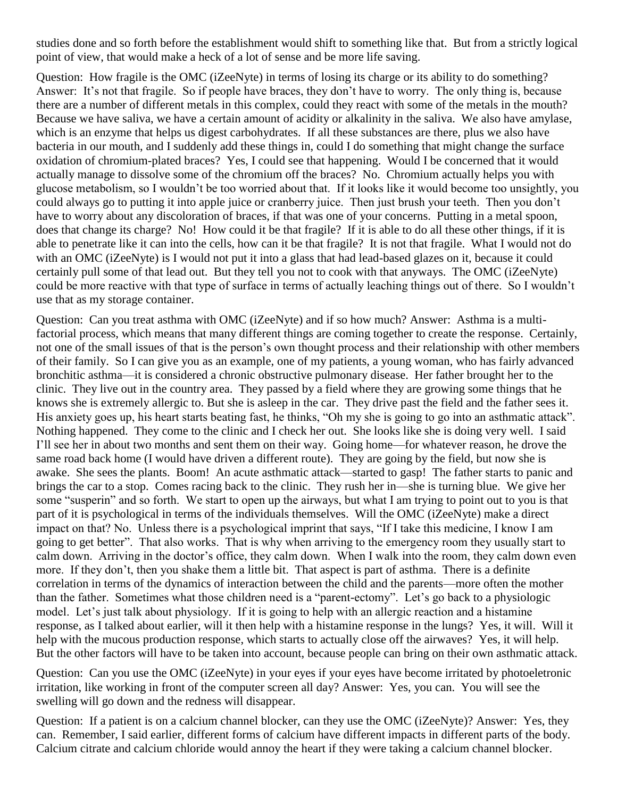studies done and so forth before the establishment would shift to something like that. But from a strictly logical point of view, that would make a heck of a lot of sense and be more life saving.

Question: How fragile is the OMC (iZeeNyte) in terms of losing its charge or its ability to do something? Answer: It's not that fragile. So if people have braces, they don't have to worry. The only thing is, because there are a number of different metals in this complex, could they react with some of the metals in the mouth? Because we have saliva, we have a certain amount of acidity or alkalinity in the saliva. We also have amylase, which is an enzyme that helps us digest carbohydrates. If all these substances are there, plus we also have bacteria in our mouth, and I suddenly add these things in, could I do something that might change the surface oxidation of chromium-plated braces? Yes, I could see that happening. Would I be concerned that it would actually manage to dissolve some of the chromium off the braces? No. Chromium actually helps you with glucose metabolism, so I wouldn't be too worried about that. If it looks like it would become too unsightly, you could always go to putting it into apple juice or cranberry juice. Then just brush your teeth. Then you don't have to worry about any discoloration of braces, if that was one of your concerns. Putting in a metal spoon, does that change its charge? No! How could it be that fragile? If it is able to do all these other things, if it is able to penetrate like it can into the cells, how can it be that fragile? It is not that fragile. What I would not do with an OMC (iZeeNyte) is I would not put it into a glass that had lead-based glazes on it, because it could certainly pull some of that lead out. But they tell you not to cook with that anyways. The OMC (iZeeNyte) could be more reactive with that type of surface in terms of actually leaching things out of there. So I wouldn't use that as my storage container.

Question: Can you treat asthma with OMC (iZeeNyte) and if so how much? Answer: Asthma is a multifactorial process, which means that many different things are coming together to create the response. Certainly, not one of the small issues of that is the person's own thought process and their relationship with other members of their family. So I can give you as an example, one of my patients, a young woman, who has fairly advanced bronchitic asthma—it is considered a chronic obstructive pulmonary disease. Her father brought her to the clinic. They live out in the country area. They passed by a field where they are growing some things that he knows she is extremely allergic to. But she is asleep in the car. They drive past the field and the father sees it. His anxiety goes up, his heart starts beating fast, he thinks, "Oh my she is going to go into an asthmatic attack". Nothing happened. They come to the clinic and I check her out. She looks like she is doing very well. I said I'll see her in about two months and sent them on their way. Going home—for whatever reason, he drove the same road back home (I would have driven a different route). They are going by the field, but now she is awake. She sees the plants. Boom! An acute asthmatic attack—started to gasp! The father starts to panic and brings the car to a stop. Comes racing back to the clinic. They rush her in—she is turning blue. We give her some "susperin" and so forth. We start to open up the airways, but what I am trying to point out to you is that part of it is psychological in terms of the individuals themselves. Will the OMC (iZeeNyte) make a direct impact on that? No. Unless there is a psychological imprint that says, "If I take this medicine, I know I am going to get better". That also works. That is why when arriving to the emergency room they usually start to calm down. Arriving in the doctor's office, they calm down. When I walk into the room, they calm down even more. If they don't, then you shake them a little bit. That aspect is part of asthma. There is a definite correlation in terms of the dynamics of interaction between the child and the parents—more often the mother than the father. Sometimes what those children need is a "parent-ectomy". Let's go back to a physiologic model. Let's just talk about physiology. If it is going to help with an allergic reaction and a histamine response, as I talked about earlier, will it then help with a histamine response in the lungs? Yes, it will. Will it help with the mucous production response, which starts to actually close off the airwaves? Yes, it will help. But the other factors will have to be taken into account, because people can bring on their own asthmatic attack.

Question: Can you use the OMC (iZeeNyte) in your eyes if your eyes have become irritated by photoeletronic irritation, like working in front of the computer screen all day? Answer: Yes, you can. You will see the swelling will go down and the redness will disappear.

Question: If a patient is on a calcium channel blocker, can they use the OMC (iZeeNyte)? Answer: Yes, they can. Remember, I said earlier, different forms of calcium have different impacts in different parts of the body. Calcium citrate and calcium chloride would annoy the heart if they were taking a calcium channel blocker.